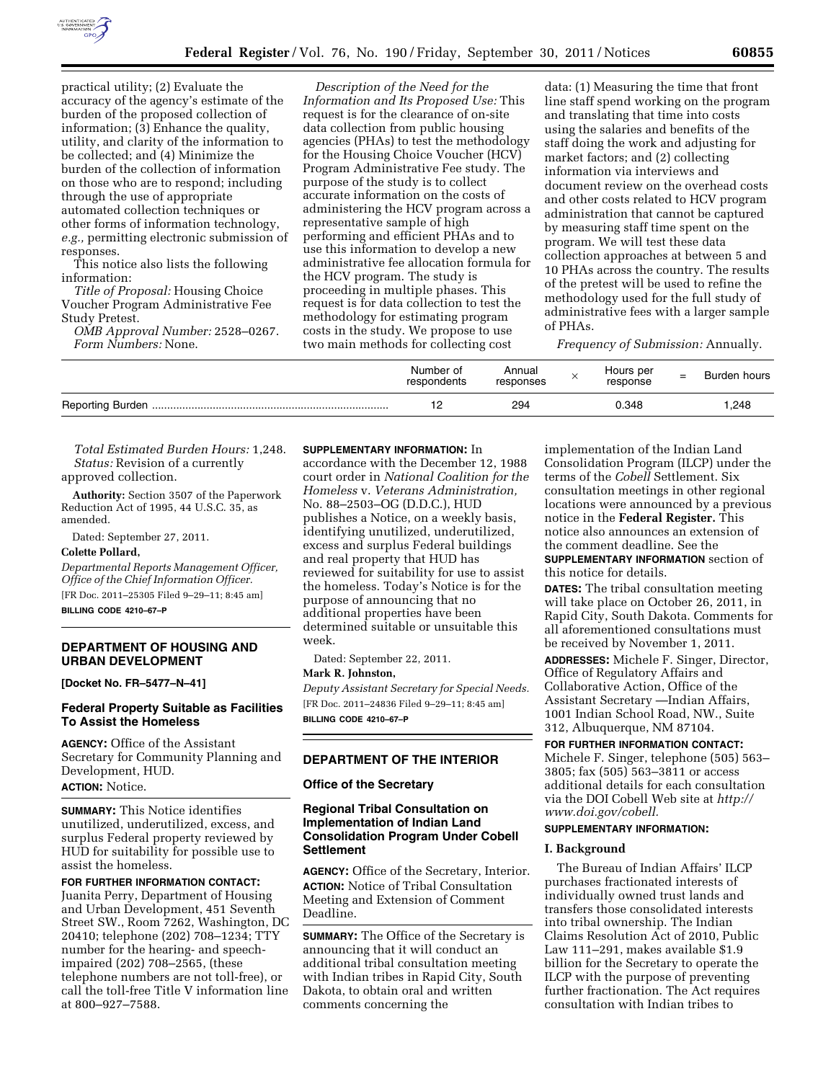

practical utility; (2) Evaluate the accuracy of the agency's estimate of the burden of the proposed collection of information; (3) Enhance the quality, utility, and clarity of the information to be collected; and (4) Minimize the burden of the collection of information on those who are to respond; including through the use of appropriate automated collection techniques or other forms of information technology, *e.g.,* permitting electronic submission of responses.

This notice also lists the following information:

*Title of Proposal:* Housing Choice Voucher Program Administrative Fee Study Pretest.

*OMB Approval Number:* 2528–0267. *Form Numbers:* None.

*Description of the Need for the Information and Its Proposed Use:* This request is for the clearance of on-site data collection from public housing agencies (PHAs) to test the methodology for the Housing Choice Voucher (HCV) Program Administrative Fee study. The purpose of the study is to collect accurate information on the costs of administering the HCV program across a representative sample of high performing and efficient PHAs and to use this information to develop a new administrative fee allocation formula for the HCV program. The study is proceeding in multiple phases. This request is for data collection to test the methodology for estimating program costs in the study. We propose to use two main methods for collecting cost

data: (1) Measuring the time that front line staff spend working on the program and translating that time into costs using the salaries and benefits of the staff doing the work and adjusting for market factors; and (2) collecting information via interviews and document review on the overhead costs and other costs related to HCV program administration that cannot be captured by measuring staff time spent on the program. We will test these data collection approaches at between 5 and 10 PHAs across the country. The results of the pretest will be used to refine the methodology used for the full study of administrative fees with a larger sample of PHAs.

*Frequency of Submission:* Annually.

| Number of<br>respondents | Annual<br>responses | Hours per<br>response | - | Burden hours |
|--------------------------|---------------------|-----------------------|---|--------------|
|                          | 294                 | 0.348                 |   | 1.248        |

*Total Estimated Burden Hours:* 1,248. *Status:* Revision of a currently approved collection.

**Authority:** Section 3507 of the Paperwork Reduction Act of 1995, 44 U.S.C. 35, as amended.

Dated: September 27, 2011.

#### **Colette Pollard,**

*Departmental Reports Management Officer, Office of the Chief Information Officer.*  [FR Doc. 2011–25305 Filed 9–29–11; 8:45 am] **BILLING CODE 4210–67–P** 

# **DEPARTMENT OF HOUSING AND URBAN DEVELOPMENT**

**[Docket No. FR–5477–N–41]** 

## **Federal Property Suitable as Facilities To Assist the Homeless**

**AGENCY:** Office of the Assistant Secretary for Community Planning and Development, HUD. **ACTION:** Notice.

**SUMMARY:** This Notice identifies unutilized, underutilized, excess, and surplus Federal property reviewed by HUD for suitability for possible use to assist the homeless.

## **FOR FURTHER INFORMATION CONTACT:**

Juanita Perry, Department of Housing and Urban Development, 451 Seventh Street SW., Room 7262, Washington, DC 20410; telephone (202) 708–1234; TTY number for the hearing- and speechimpaired (202) 708–2565, (these telephone numbers are not toll-free), or call the toll-free Title V information line at 800–927–7588.

## **SUPPLEMENTARY INFORMATION:** In

accordance with the December 12, 1988 court order in *National Coalition for the Homeless* v. *Veterans Administration,*  No. 88–2503–OG (D.D.C.), HUD publishes a Notice, on a weekly basis, identifying unutilized, underutilized, excess and surplus Federal buildings and real property that HUD has reviewed for suitability for use to assist the homeless. Today's Notice is for the purpose of announcing that no additional properties have been determined suitable or unsuitable this week.

Dated: September 22, 2011.

**Mark R. Johnston,** 

*Deputy Assistant Secretary for Special Needs.*  [FR Doc. 2011–24836 Filed 9–29–11; 8:45 am] **BILLING CODE 4210–67–P** 

# **DEPARTMENT OF THE INTERIOR**

#### **Office of the Secretary**

# **Regional Tribal Consultation on Implementation of Indian Land Consolidation Program Under Cobell Settlement**

**AGENCY:** Office of the Secretary, Interior. **ACTION:** Notice of Tribal Consultation Meeting and Extension of Comment Deadline.

**SUMMARY:** The Office of the Secretary is announcing that it will conduct an additional tribal consultation meeting with Indian tribes in Rapid City, South Dakota, to obtain oral and written comments concerning the

implementation of the Indian Land Consolidation Program (ILCP) under the terms of the *Cobell* Settlement. Six consultation meetings in other regional locations were announced by a previous notice in the **Federal Register.** This notice also announces an extension of the comment deadline. See the **SUPPLEMENTARY INFORMATION** section of this notice for details.

**DATES:** The tribal consultation meeting will take place on October 26, 2011, in Rapid City, South Dakota. Comments for all aforementioned consultations must be received by November 1, 2011.

**ADDRESSES:** Michele F. Singer, Director, Office of Regulatory Affairs and Collaborative Action, Office of the Assistant Secretary —Indian Affairs, 1001 Indian School Road, NW., Suite 312, Albuquerque, NM 87104.

# **FOR FURTHER INFORMATION CONTACT:**  Michele F. Singer, telephone (505) 563–

3805; fax (505) 563–3811 or access additional details for each consultation via the DOI Cobell Web site at *[http://](http://www.doi.gov/cobell)  [www.doi.gov/cobell.](http://www.doi.gov/cobell)* 

# **SUPPLEMENTARY INFORMATION:**

#### **I. Background**

The Bureau of Indian Affairs' ILCP purchases fractionated interests of individually owned trust lands and transfers those consolidated interests into tribal ownership. The Indian Claims Resolution Act of 2010, Public Law 111–291, makes available \$1.9 billion for the Secretary to operate the ILCP with the purpose of preventing further fractionation. The Act requires consultation with Indian tribes to